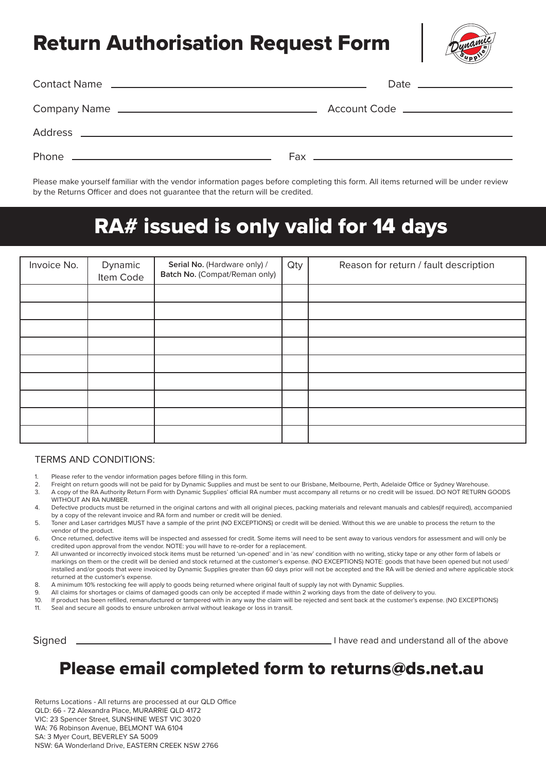# Return Authorisation Request Form



Please make yourself familiar with the vendor information pages before completing this form. All items returned will be under review by the Returns Officer and does not guarantee that the return will be credited.

# RA# issued is only valid for 14 days

| Invoice No. | Dynamic<br>Item Code | Serial No. (Hardware only) /<br>Batch No. (Compat/Reman only) | Qty | Reason for return / fault description |
|-------------|----------------------|---------------------------------------------------------------|-----|---------------------------------------|
|             |                      |                                                               |     |                                       |
|             |                      |                                                               |     |                                       |
|             |                      |                                                               |     |                                       |
|             |                      |                                                               |     |                                       |
|             |                      |                                                               |     |                                       |
|             |                      |                                                               |     |                                       |
|             |                      |                                                               |     |                                       |
|             |                      |                                                               |     |                                       |
|             |                      |                                                               |     |                                       |

#### TERMS AND CONDITIONS:

- 1. Please refer to the vendor information pages before filling in this form.
- 2. Freight on return goods will not be paid for by Dynamic Supplies and must be sent to our Brisbane, Melbourne, Perth, Adelaide Office or Sydney Warehouse.
- 3. A copy of the RA Authority Return Form with Dynamic Supplies' official RA number must accompany all returns or no credit will be issued. DO NOT RETURN GOODS WITHOUT AN RA NUMBER.
- 4. Defective products must be returned in the original cartons and with all original pieces, packing materials and relevant manuals and cables(if required), accompanied by a copy of the relevant invoice and RA form and number or credit will be denied.

5. Toner and Laser cartridges MUST have a sample of the print (NO EXCEPTIONS) or credit will be denied. Without this we are unable to process the return to the vendor of the product.

- 6. Once returned, defective items will be inspected and assessed for credit. Some items will need to be sent away to various vendors for assessment and will only be credited upon approval from the vendor. NOTE: you will have to re-order for a replacement.
- 7. All unwanted or incorrectly invoiced stock items must be returned 'un-opened' and in 'as new' condition with no writing, sticky tape or any other form of labels or markings on them or the credit will be denied and stock returned at the customer's expense. (NO EXCEPTIONS) NOTE: goods that have been opened but not used/ installed and/or goods that were invoiced by Dynamic Supplies greater than 60 days prior will not be accepted and the RA will be denied and where applicable stock returned at the customer's expense.
- 8. A minimum 10% restocking fee will apply to goods being returned where original fault of supply lay not with Dynamic Supplies.
- 9. All claims for shortages or claims of damaged goods can only be accepted if made within 2 working days from the date of delivery to you.
- 10. If product has been refilled, remanufactured or tampered with in any way the claim will be rejected and sent back at the customer's expense. (NO EXCEPTIONS)<br>11 Seal and secure all goods to ensure unbroken arrival witho
- 11. Seal and secure all goods to ensure unbroken arrival without leakage or loss in transit.

Signed

I have read and understand all of the above

# Please email completed form to returns@ds.net.au

Returns Locations - All returns are processed at our QLD Office QLD: 66 - 72 Alexandra Place, MURARRIE QLD 4172 VIC: 23 Spencer Street, SUNSHINE WEST VIC 3020 WA: 76 Robinson Avenue, BELMONT WA 6104 SA: 3 Myer Court, BEVERLEY SA 5009 NSW: 6A Wonderland Drive, EASTERN CREEK NSW 2766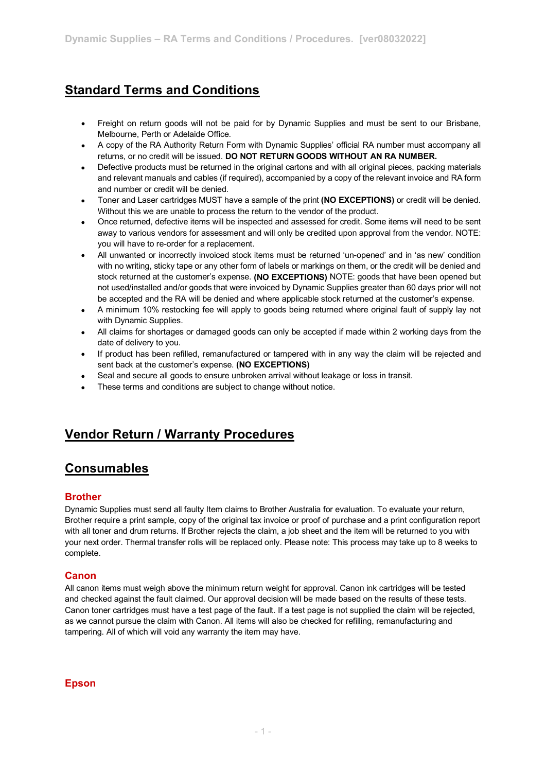# **Standard Terms and Conditions**

- Freight on return goods will not be paid for by Dynamic Supplies and must be sent to our Brisbane, Melbourne, Perth or Adelaide Office.
- A copy of the RA Authority Return Form with Dynamic Supplies' official RA number must accompany all returns, or no credit will be issued. **DO NOT RETURN GOODS WITHOUT AN RA NUMBER.**
- Defective products must be returned in the original cartons and with all original pieces, packing materials and relevant manuals and cables (if required), accompanied by a copy of the relevant invoice and RA form and number or credit will be denied.
- Toner and Laser cartridges MUST have a sample of the print **(NO EXCEPTIONS)** or credit will be denied. Without this we are unable to process the return to the vendor of the product.
- Once returned, defective items will be inspected and assessed for credit. Some items will need to be sent away to various vendors for assessment and will only be credited upon approval from the vendor. NOTE: you will have to re-order for a replacement.
- All unwanted or incorrectly invoiced stock items must be returned 'un-opened' and in 'as new' condition with no writing, sticky tape or any other form of labels or markings on them, or the credit will be denied and stock returned at the customer's expense. **(NO EXCEPTIONS)** NOTE: goods that have been opened but not used/installed and/or goods that were invoiced by Dynamic Supplies greater than 60 days prior will not be accepted and the RA will be denied and where applicable stock returned at the customer's expense.
- A minimum 10% restocking fee will apply to goods being returned where original fault of supply lay not with Dynamic Supplies.
- All claims for shortages or damaged goods can only be accepted if made within 2 working days from the date of delivery to you.
- If product has been refilled, remanufactured or tampered with in any way the claim will be rejected and sent back at the customer's expense. **(NO EXCEPTIONS)**
- Seal and secure all goods to ensure unbroken arrival without leakage or loss in transit.
- These terms and conditions are subject to change without notice.

# **Vendor Return / Warranty Procedures**

## **Consumables**

## **Brother**

Dynamic Supplies must send all faulty Item claims to Brother Australia for evaluation. To evaluate your return, Brother require a print sample, copy of the original tax invoice or proof of purchase and a print configuration report with all toner and drum returns. If Brother rejects the claim, a job sheet and the item will be returned to you with your next order. Thermal transfer rolls will be replaced only. Please note: This process may take up to 8 weeks to complete.

## **Canon**

All canon items must weigh above the minimum return weight for approval. Canon ink cartridges will be tested and checked against the fault claimed. Our approval decision will be made based on the results of these tests. Canon toner cartridges must have a test page of the fault. If a test page is not supplied the claim will be rejected, as we cannot pursue the claim with Canon. All items will also be checked for refilling, remanufacturing and tampering. All of which will void any warranty the item may have.

## **Epson**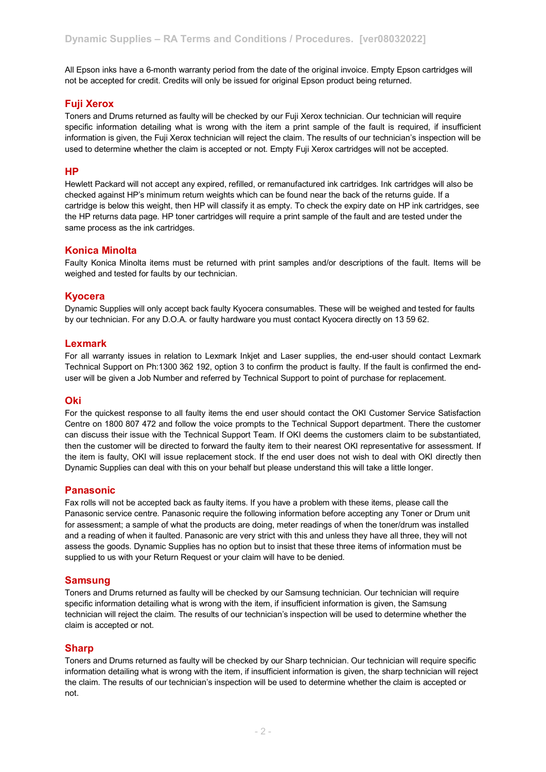All Epson inks have a 6-month warranty period from the date of the original invoice. Empty Epson cartridges will not be accepted for credit. Credits will only be issued for original Epson product being returned.

## **Fuji Xerox**

Toners and Drums returned as faulty will be checked by our Fuji Xerox technician. Our technician will require specific information detailing what is wrong with the item a print sample of the fault is required, if insufficient information is given, the Fuji Xerox technician will reject the claim. The results of our technician's inspection will be used to determine whether the claim is accepted or not. Empty Fuji Xerox cartridges will not be accepted.

#### **HP**

Hewlett Packard will not accept any expired, refilled, or remanufactured ink cartridges. Ink cartridges will also be checked against HP's minimum return weights which can be found near the back of the returns guide. If a cartridge is below this weight, then HP will classify it as empty. To check the expiry date on HP ink cartridges, see the HP returns data page. HP toner cartridges will require a print sample of the fault and are tested under the same process as the ink cartridges.

#### **Konica Minolta**

Faulty Konica Minolta items must be returned with print samples and/or descriptions of the fault. Items will be weighed and tested for faults by our technician.

#### **Kyocera**

Dynamic Supplies will only accept back faulty Kyocera consumables. These will be weighed and tested for faults by our technician. For any D.O.A. or faulty hardware you must contact Kyocera directly on 13 59 62.

#### **Lexmark**

For all warranty issues in relation to Lexmark Inkjet and Laser supplies, the end-user should contact Lexmark Technical Support on Ph:1300 362 192, option 3 to confirm the product is faulty. If the fault is confirmed the enduser will be given a Job Number and referred by Technical Support to point of purchase for replacement.

#### **Oki**

For the quickest response to all faulty items the end user should contact the OKI Customer Service Satisfaction Centre on 1800 807 472 and follow the voice prompts to the Technical Support department. There the customer can discuss their issue with the Technical Support Team. If OKI deems the customers claim to be substantiated, then the customer will be directed to forward the faulty item to their nearest OKI representative for assessment. If the item is faulty, OKI will issue replacement stock. If the end user does not wish to deal with OKI directly then Dynamic Supplies can deal with this on your behalf but please understand this will take a little longer.

#### **Panasonic**

Fax rolls will not be accepted back as faulty items. If you have a problem with these items, please call the Panasonic service centre. Panasonic require the following information before accepting any Toner or Drum unit for assessment; a sample of what the products are doing, meter readings of when the toner/drum was installed and a reading of when it faulted. Panasonic are very strict with this and unless they have all three, they will not assess the goods. Dynamic Supplies has no option but to insist that these three items of information must be supplied to us with your Return Request or your claim will have to be denied.

#### **Samsung**

Toners and Drums returned as faulty will be checked by our Samsung technician. Our technician will require specific information detailing what is wrong with the item, if insufficient information is given, the Samsung technician will reject the claim. The results of our technician's inspection will be used to determine whether the claim is accepted or not.

#### **Sharp**

Toners and Drums returned as faulty will be checked by our Sharp technician. Our technician will require specific information detailing what is wrong with the item, if insufficient information is given, the sharp technician will reject the claim. The results of our technician's inspection will be used to determine whether the claim is accepted or not.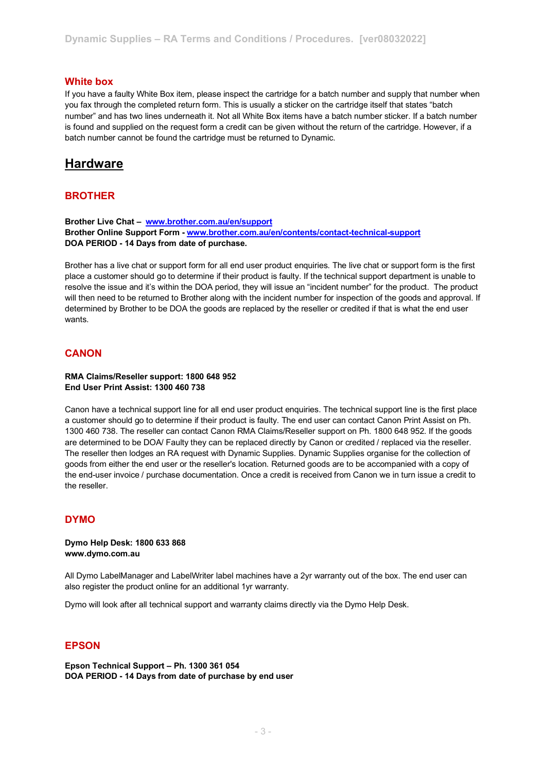#### **White box**

If you have a faulty White Box item, please inspect the cartridge for a batch number and supply that number when you fax through the completed return form. This is usually a sticker on the cartridge itself that states "batch number" and has two lines underneath it. Not all White Box items have a batch number sticker. If a batch number is found and supplied on the request form a credit can be given without the return of the cartridge. However, if a batch number cannot be found the cartridge must be returned to Dynamic.

## **Hardware**

#### **BROTHER**

**Brother Live Chat – [www.brother.com.au/en/support](http://www.brother.com.au/en/support) Brother Online Support Form - [www.brother.com.au/en/contents/contact-technical-support](http://www.brother.com.au/en/contents/contact-technical-support) DOA PERIOD - 14 Days from date of purchase.**

Brother has a live chat or support form for all end user product enquiries. The live chat or support form is the first place a customer should go to determine if their product is faulty. If the technical support department is unable to resolve the issue and it's within the DOA period, they will issue an "incident number" for the product. The product will then need to be returned to Brother along with the incident number for inspection of the goods and approval. If determined by Brother to be DOA the goods are replaced by the reseller or credited if that is what the end user wants.

#### **CANON**

#### **RMA Claims/Reseller support: 1800 648 952 End User Print Assist: 1300 460 738**

Canon have a technical support line for all end user product enquiries. The technical support line is the first place a customer should go to determine if their product is faulty. The end user can contact Canon Print Assist on Ph. 1300 460 738. The reseller can contact Canon RMA Claims/Reseller support on Ph. 1800 648 952. If the goods are determined to be DOA/ Faulty they can be replaced directly by Canon or credited / replaced via the reseller. The reseller then lodges an RA request with Dynamic Supplies. Dynamic Supplies organise for the collection of goods from either the end user or the reseller's location. Returned goods are to be accompanied with a copy of the end-user invoice / purchase documentation. Once a credit is received from Canon we in turn issue a credit to the reseller.

## **DYMO**

**Dymo Help Desk: 1800 633 868 www.dymo.com.au**

All Dymo LabelManager and LabelWriter label machines have a 2yr warranty out of the box. The end user can also register the product online for an additional 1yr warranty.

Dymo will look after all technical support and warranty claims directly via the Dymo Help Desk.

#### **EPSON**

**Epson Technical Support – Ph. 1300 361 054 DOA PERIOD - 14 Days from date of purchase by end user**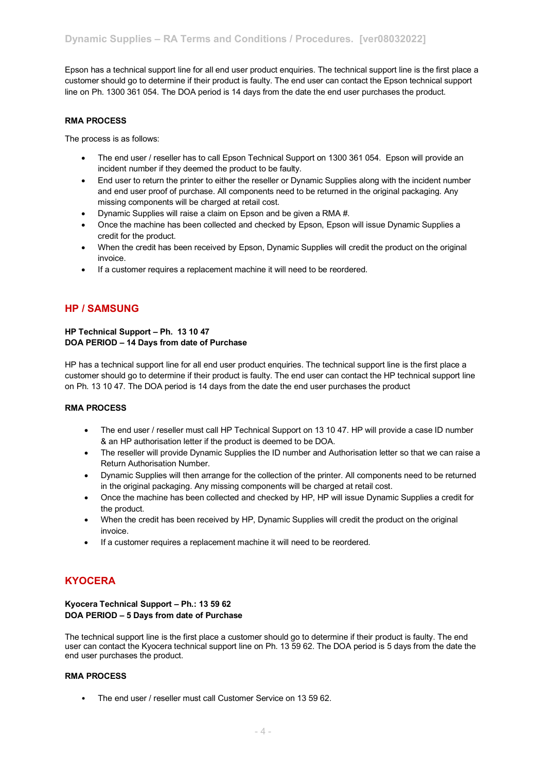Epson has a technical support line for all end user product enquiries. The technical support line is the first place a customer should go to determine if their product is faulty. The end user can contact the Epson technical support line on Ph. 1300 361 054. The DOA period is 14 days from the date the end user purchases the product.

#### **RMA PROCESS**

The process is as follows:

- The end user / reseller has to call Epson Technical Support on 1300 361 054. Epson will provide an incident number if they deemed the product to be faulty.
- End user to return the printer to either the reseller or Dynamic Supplies along with the incident number and end user proof of purchase. All components need to be returned in the original packaging. Any missing components will be charged at retail cost.
- Dynamic Supplies will raise a claim on Epson and be given a RMA #.
- Once the machine has been collected and checked by Epson, Epson will issue Dynamic Supplies a credit for the product.
- When the credit has been received by Epson, Dynamic Supplies will credit the product on the original invoice.
- If a customer requires a replacement machine it will need to be reordered.

## **HP / SAMSUNG**

#### **HP Technical Support – Ph. 13 10 47 DOA PERIOD – 14 Days from date of Purchase**

HP has a technical support line for all end user product enquiries. The technical support line is the first place a customer should go to determine if their product is faulty. The end user can contact the HP technical support line on Ph. 13 10 47. The DOA period is 14 days from the date the end user purchases the product

#### **RMA PROCESS**

- The end user / reseller must call HP Technical Support on 13 10 47. HP will provide a case ID number & an HP authorisation letter if the product is deemed to be DOA.
- The reseller will provide Dynamic Supplies the ID number and Authorisation letter so that we can raise a Return Authorisation Number.
- Dynamic Supplies will then arrange for the collection of the printer. All components need to be returned in the original packaging. Any missing components will be charged at retail cost.
- Once the machine has been collected and checked by HP, HP will issue Dynamic Supplies a credit for the product.
- When the credit has been received by HP, Dynamic Supplies will credit the product on the original invoice.
- If a customer requires a replacement machine it will need to be reordered.

## **KYOCERA**

#### **Kyocera Technical Support – Ph.: 13 59 62 DOA PERIOD – 5 Days from date of Purchase**

The technical support line is the first place a customer should go to determine if their product is faulty. The end user can contact the Kyocera technical support line on Ph. 13 59 62. The DOA period is 5 days from the date the end user purchases the product.

#### **RMA PROCESS**

• The end user / reseller must call Customer Service on 13 59 62.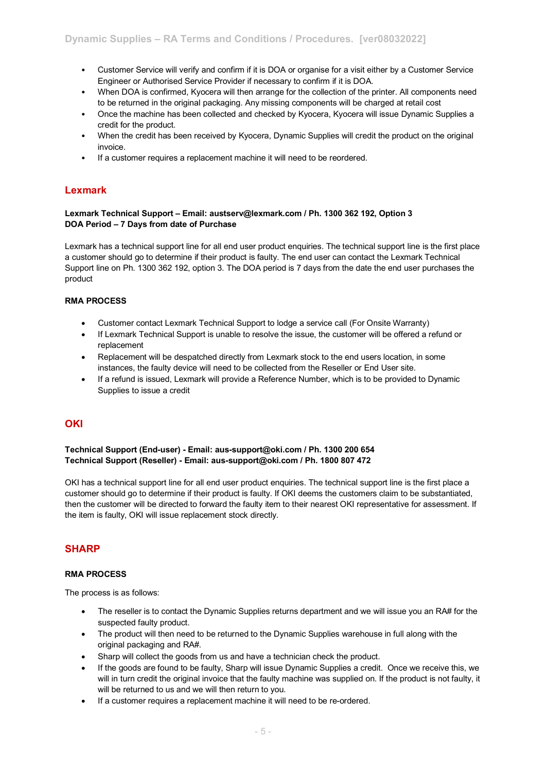- Customer Service will verify and confirm if it is DOA or organise for a visit either by a Customer Service Engineer or Authorised Service Provider if necessary to confirm if it is DOA.
- When DOA is confirmed, Kyocera will then arrange for the collection of the printer. All components need to be returned in the original packaging. Any missing components will be charged at retail cost
- Once the machine has been collected and checked by Kyocera, Kyocera will issue Dynamic Supplies a credit for the product.
- When the credit has been received by Kyocera, Dynamic Supplies will credit the product on the original invoice.
- If a customer requires a replacement machine it will need to be reordered.

## **Lexmark**

#### **Lexmark Technical Support – Email: austserv@lexmark.com / Ph. 1300 362 192, Option 3 DOA Period – 7 Days from date of Purchase**

Lexmark has a technical support line for all end user product enquiries. The technical support line is the first place a customer should go to determine if their product is faulty. The end user can contact the Lexmark Technical Support line on Ph. 1300 362 192, option 3. The DOA period is 7 days from the date the end user purchases the product

#### **RMA PROCESS**

- Customer contact Lexmark Technical Support to lodge a service call (For Onsite Warranty)
- If Lexmark Technical Support is unable to resolve the issue, the customer will be offered a refund or replacement
- Replacement will be despatched directly from Lexmark stock to the end users location, in some instances, the faulty device will need to be collected from the Reseller or End User site.
- If a refund is issued, Lexmark will provide a Reference Number, which is to be provided to Dynamic Supplies to issue a credit

## **OKI**

#### **Technical Support (End-user) - Email: aus-support@oki.com / Ph. 1300 200 654 Technical Support (Reseller) - Email: aus-support@oki.com / Ph. 1800 807 472**

OKI has a technical support line for all end user product enquiries. The technical support line is the first place a customer should go to determine if their product is faulty. If OKI deems the customers claim to be substantiated, then the customer will be directed to forward the faulty item to their nearest OKI representative for assessment. If the item is faulty, OKI will issue replacement stock directly.

## **SHARP**

#### **RMA PROCESS**

The process is as follows:

- The reseller is to contact the Dynamic Supplies returns department and we will issue you an RA# for the suspected faulty product.
- The product will then need to be returned to the Dynamic Supplies warehouse in full along with the original packaging and RA#.
- Sharp will collect the goods from us and have a technician check the product.
- If the goods are found to be faulty, Sharp will issue Dynamic Supplies a credit. Once we receive this, we will in turn credit the original invoice that the faulty machine was supplied on. If the product is not faulty, it will be returned to us and we will then return to you.
- If a customer requires a replacement machine it will need to be re-ordered.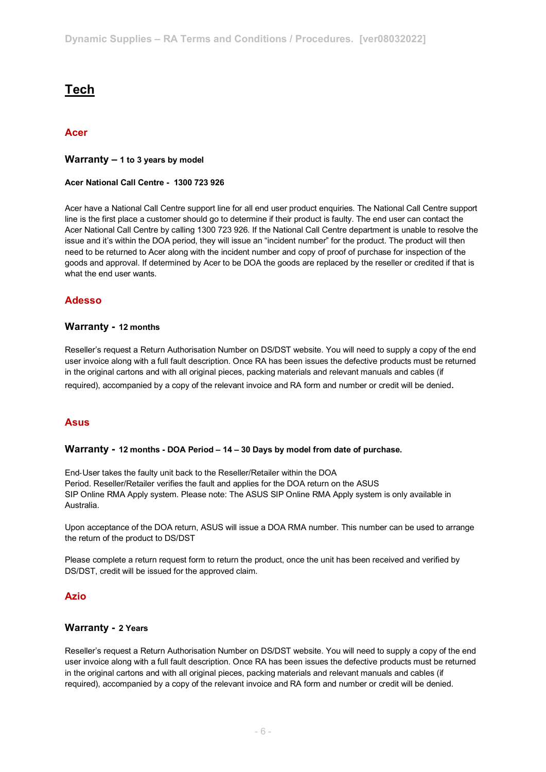## **Tech**

## **Acer**

#### **Warranty – 1 to 3 years by model**

#### **Acer National Call Centre - 1300 723 926**

Acer have a National Call Centre support line for all end user product enquiries. The National Call Centre support line is the first place a customer should go to determine if their product is faulty. The end user can contact the Acer National Call Centre by calling 1300 723 926. If the National Call Centre department is unable to resolve the issue and it's within the DOA period, they will issue an "incident number" for the product. The product will then need to be returned to Acer along with the incident number and copy of proof of purchase for inspection of the goods and approval. If determined by Acer to be DOA the goods are replaced by the reseller or credited if that is what the end user wants.

## **Adesso**

## **Warranty - 12 months**

Reseller's request a Return Authorisation Number on DS/DST website. You will need to supply a copy of the end user invoice along with a full fault description. Once RA has been issues the defective products must be returned in the original cartons and with all original pieces, packing materials and relevant manuals and cables (if required), accompanied by a copy of the relevant invoice and RA form and number or credit will be denied.

## **Asus**

#### **Warranty - 12 months - DOA Period – 14 – 30 Days by model from date of purchase.**

End‐User takes the faulty unit back to the Reseller/Retailer within the DOA Period. Reseller/Retailer verifies the fault and applies for the DOA return on the ASUS SIP Online RMA Apply system. Please note: The ASUS SIP Online RMA Apply system is only available in Australia.

Upon acceptance of the DOA return, ASUS will issue a DOA RMA number. This number can be used to arrange the return of the product to DS/DST

Please complete a return request form to return the product, once the unit has been received and verified by DS/DST, credit will be issued for the approved claim.

## **Azio**

#### **Warranty - 2 Years**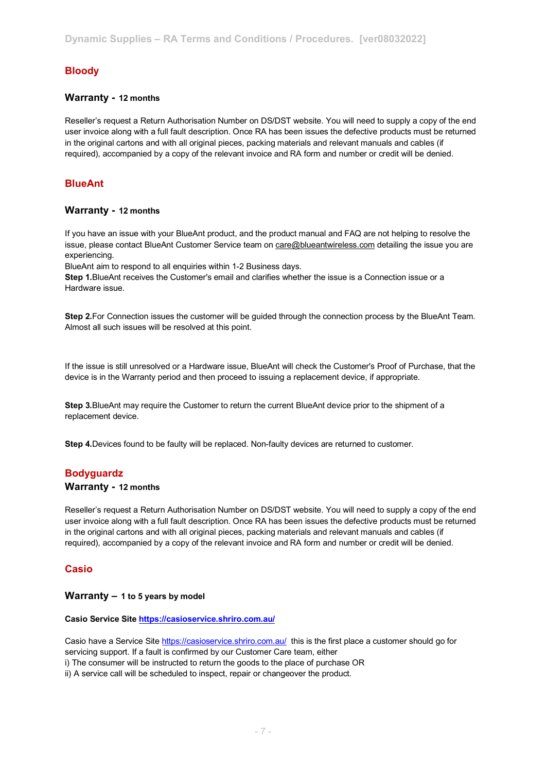## **Bloody**

#### **Warranty - 12 months**

Reseller's request a Return Authorisation Number on DS/DST website. You will need to supply a copy of the end user invoice along with a full fault description. Once RA has been issues the defective products must be returned in the original cartons and with all original pieces, packing materials and relevant manuals and cables (if required), accompanied by a copy of the relevant invoice and RA form and number or credit will be denied.

## **BlueAnt**

#### **Warranty - 12 months**

If you have an issue with your BlueAnt product, and the product manual and FAQ are not helping to resolve the issue, please contact BlueAnt Customer Service team on [care@blueantwireless.com](mailto:care@blueantwireless.com) detailing the issue you are experiencing.

BlueAnt aim to respond to all enquiries within 1-2 Business days.

**Step 1.**BlueAnt receives the Customer's email and clarifies whether the issue is a Connection issue or a Hardware issue.

**Step 2.**For Connection issues the customer will be guided through the connection process by the BlueAnt Team. Almost all such issues will be resolved at this point.

If the issue is still unresolved or a Hardware issue, BlueAnt will check the Customer's Proof of Purchase, that the device is in the Warranty period and then proceed to issuing a replacement device, if appropriate.

**Step 3.**BlueAnt may require the Customer to return the current BlueAnt device prior to the shipment of a replacement device.

**Step 4.**Devices found to be faulty will be replaced. Non-faulty devices are returned to customer.

#### **Bodyguardz**

#### **Warranty - 12 months**

Reseller's request a Return Authorisation Number on DS/DST website. You will need to supply a copy of the end user invoice along with a full fault description. Once RA has been issues the defective products must be returned in the original cartons and with all original pieces, packing materials and relevant manuals and cables (if required), accompanied by a copy of the relevant invoice and RA form and number or credit will be denied.

#### **Casio**

#### **Warranty – 1 to 5 years by model**

#### **Casio Service Sit[e https://casioservice.shriro.com.au/](https://protect-au.mimecast.com/s/6obtC5QP7jCOmvGUzd7W5?domain=casioservice.shriro.com.au/)**

Casio have a Service Sit[e https://casioservice.shriro.com.au/](https://protect-au.mimecast.com/s/6obtC5QP7jCOmvGUzd7W5?domain=casioservice.shriro.com.au/) this is the first place a customer should go for servicing support. If a fault is confirmed by our Customer Care team, either i) The consumer will be instructed to return the goods to the place of purchase OR

ii) A service call will be scheduled to inspect, repair or changeover the product.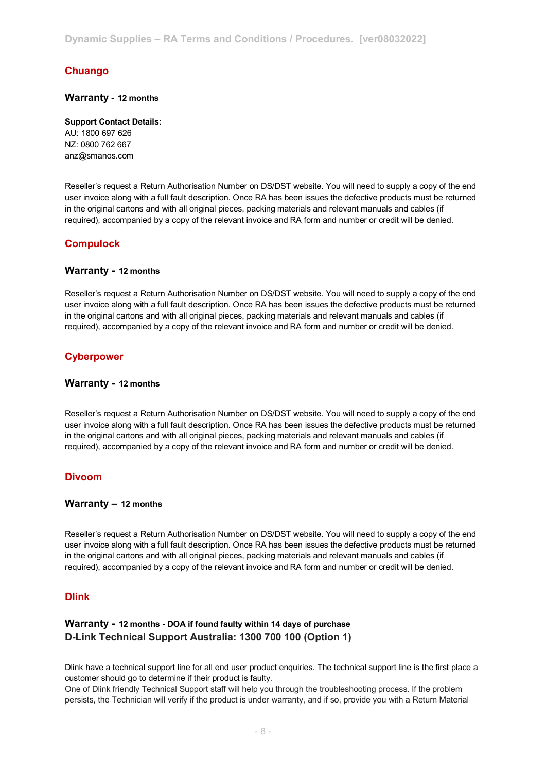## **Chuango**

#### **Warranty - 12 months**

**Support Contact Details:** AU: 1800 697 626 NZ: 0800 762 667 anz@smanos.com

Reseller's request a Return Authorisation Number on DS/DST website. You will need to supply a copy of the end user invoice along with a full fault description. Once RA has been issues the defective products must be returned in the original cartons and with all original pieces, packing materials and relevant manuals and cables (if required), accompanied by a copy of the relevant invoice and RA form and number or credit will be denied.

## **Compulock**

#### **Warranty - 12 months**

Reseller's request a Return Authorisation Number on DS/DST website. You will need to supply a copy of the end user invoice along with a full fault description. Once RA has been issues the defective products must be returned in the original cartons and with all original pieces, packing materials and relevant manuals and cables (if required), accompanied by a copy of the relevant invoice and RA form and number or credit will be denied.

## **Cyberpower**

#### **Warranty - 12 months**

Reseller's request a Return Authorisation Number on DS/DST website. You will need to supply a copy of the end user invoice along with a full fault description. Once RA has been issues the defective products must be returned in the original cartons and with all original pieces, packing materials and relevant manuals and cables (if required), accompanied by a copy of the relevant invoice and RA form and number or credit will be denied.

## **Divoom**

#### **Warranty – 12 months**

Reseller's request a Return Authorisation Number on DS/DST website. You will need to supply a copy of the end user invoice along with a full fault description. Once RA has been issues the defective products must be returned in the original cartons and with all original pieces, packing materials and relevant manuals and cables (if required), accompanied by a copy of the relevant invoice and RA form and number or credit will be denied.

#### **Dlink**

## **Warranty - 12 months - DOA if found faulty within 14 days of purchase D-Link Technical Support Australia: 1300 700 100 (Option 1)**

Dlink have a technical support line for all end user product enquiries. The technical support line is the first place a customer should go to determine if their product is faulty.

One of Dlink friendly Technical Support staff will help you through the troubleshooting process. If the problem persists, the Technician will verify if the product is under warranty, and if so, provide you with a Return Material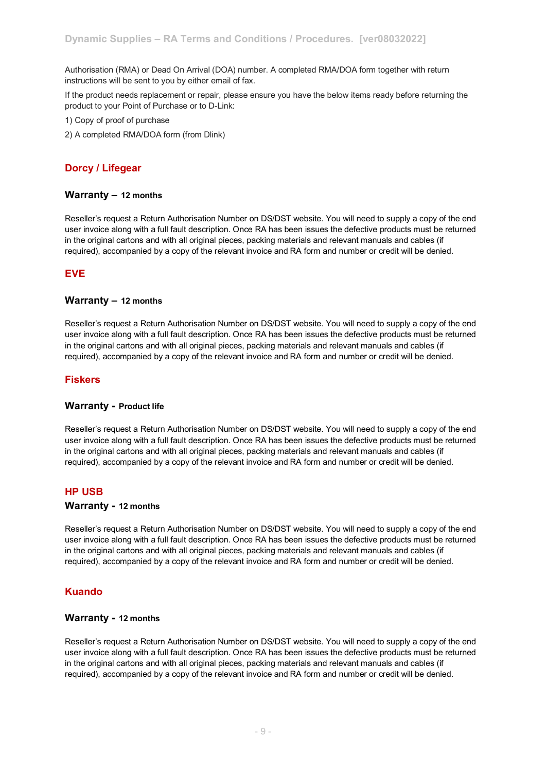Authorisation (RMA) or Dead On Arrival (DOA) number. A completed RMA/DOA form together with return instructions will be sent to you by either email of fax.

If the product needs replacement or repair, please ensure you have the below items ready before returning the product to your Point of Purchase or to D-Link:

- 1) Copy of proof of purchase
- 2) A completed RMA/DOA form (from Dlink)

## **Dorcy / Lifegear**

#### **Warranty – 12 months**

Reseller's request a Return Authorisation Number on DS/DST website. You will need to supply a copy of the end user invoice along with a full fault description. Once RA has been issues the defective products must be returned in the original cartons and with all original pieces, packing materials and relevant manuals and cables (if required), accompanied by a copy of the relevant invoice and RA form and number or credit will be denied.

## **EVE**

#### **Warranty – 12 months**

Reseller's request a Return Authorisation Number on DS/DST website. You will need to supply a copy of the end user invoice along with a full fault description. Once RA has been issues the defective products must be returned in the original cartons and with all original pieces, packing materials and relevant manuals and cables (if required), accompanied by a copy of the relevant invoice and RA form and number or credit will be denied.

#### **Fiskers**

#### **Warranty - Product life**

Reseller's request a Return Authorisation Number on DS/DST website. You will need to supply a copy of the end user invoice along with a full fault description. Once RA has been issues the defective products must be returned in the original cartons and with all original pieces, packing materials and relevant manuals and cables (if required), accompanied by a copy of the relevant invoice and RA form and number or credit will be denied.

#### **HP USB**

#### **Warranty - 12 months**

Reseller's request a Return Authorisation Number on DS/DST website. You will need to supply a copy of the end user invoice along with a full fault description. Once RA has been issues the defective products must be returned in the original cartons and with all original pieces, packing materials and relevant manuals and cables (if required), accompanied by a copy of the relevant invoice and RA form and number or credit will be denied.

#### **Kuando**

## **Warranty - 12 months**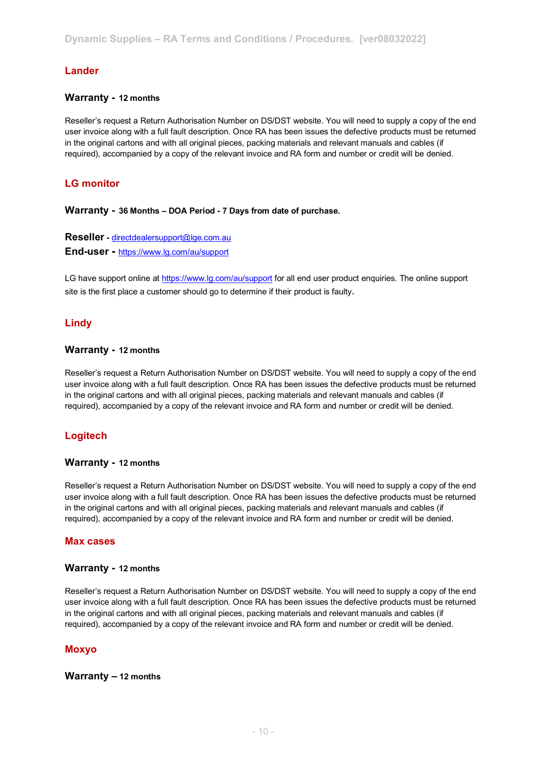## **Lander**

#### **Warranty - 12 months**

Reseller's request a Return Authorisation Number on DS/DST website. You will need to supply a copy of the end user invoice along with a full fault description. Once RA has been issues the defective products must be returned in the original cartons and with all original pieces, packing materials and relevant manuals and cables (if required), accompanied by a copy of the relevant invoice and RA form and number or credit will be denied.

## **LG monitor**

**Warranty - 36 Months – DOA Period - 7 Days from date of purchase.** 

**Reseller -** [directdealersupport@lge.com.au](mailto:directdealersupport@lge.com.au) **End-user -** [https://www.lg.com/au/support](https://protect-au.mimecast.com/s/eJy1CYW874h0EkpH04E4D?domain=lg.com)

LG have support online at [https://www.lg.com/au/support](https://protect-au.mimecast.com/s/eJy1CYW874h0EkpH04E4D?domain=lg.com) for all end user product enquiries. The online support site is the first place a customer should go to determine if their product is faulty.

## **Lindy**

#### **Warranty - 12 months**

Reseller's request a Return Authorisation Number on DS/DST website. You will need to supply a copy of the end user invoice along with a full fault description. Once RA has been issues the defective products must be returned in the original cartons and with all original pieces, packing materials and relevant manuals and cables (if required), accompanied by a copy of the relevant invoice and RA form and number or credit will be denied.

## **Logitech**

#### **Warranty - 12 months**

Reseller's request a Return Authorisation Number on DS/DST website. You will need to supply a copy of the end user invoice along with a full fault description. Once RA has been issues the defective products must be returned in the original cartons and with all original pieces, packing materials and relevant manuals and cables (if required), accompanied by a copy of the relevant invoice and RA form and number or credit will be denied.

#### **Max cases**

#### **Warranty - 12 months**

Reseller's request a Return Authorisation Number on DS/DST website. You will need to supply a copy of the end user invoice along with a full fault description. Once RA has been issues the defective products must be returned in the original cartons and with all original pieces, packing materials and relevant manuals and cables (if required), accompanied by a copy of the relevant invoice and RA form and number or credit will be denied.

#### **Moxyo**

#### **Warranty – 12 months**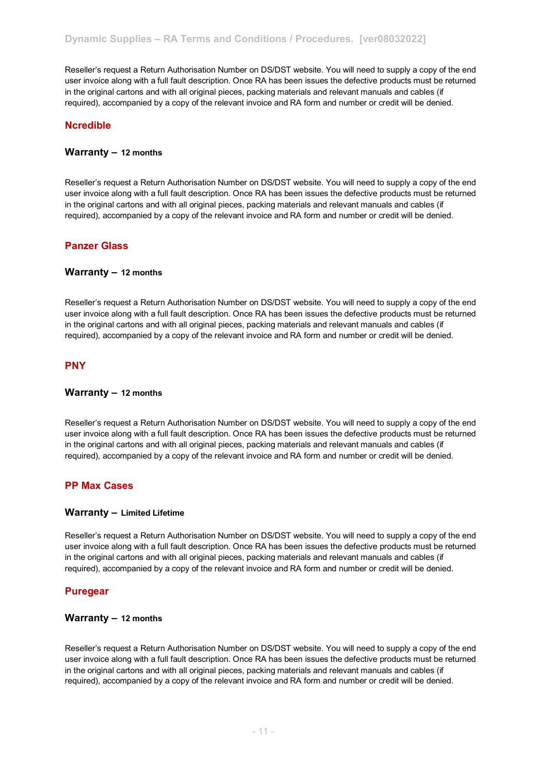Reseller's request a Return Authorisation Number on DS/DST website. You will need to supply a copy of the end user invoice along with a full fault description. Once RA has been issues the defective products must be returned in the original cartons and with all original pieces, packing materials and relevant manuals and cables (if required), accompanied by a copy of the relevant invoice and RA form and number or credit will be denied.

## **Ncredible**

#### **Warranty – 12 months**

Reseller's request a Return Authorisation Number on DS/DST website. You will need to supply a copy of the end user invoice along with a full fault description. Once RA has been issues the defective products must be returned in the original cartons and with all original pieces, packing materials and relevant manuals and cables (if required), accompanied by a copy of the relevant invoice and RA form and number or credit will be denied.

## **Panzer Glass**

#### **Warranty – 12 months**

Reseller's request a Return Authorisation Number on DS/DST website. You will need to supply a copy of the end user invoice along with a full fault description. Once RA has been issues the defective products must be returned in the original cartons and with all original pieces, packing materials and relevant manuals and cables (if required), accompanied by a copy of the relevant invoice and RA form and number or credit will be denied.

#### **PNY**

#### **Warranty – 12 months**

Reseller's request a Return Authorisation Number on DS/DST website. You will need to supply a copy of the end user invoice along with a full fault description. Once RA has been issues the defective products must be returned in the original cartons and with all original pieces, packing materials and relevant manuals and cables (if required), accompanied by a copy of the relevant invoice and RA form and number or credit will be denied.

#### **PP Max Cases**

#### **Warranty – Limited Lifetime**

Reseller's request a Return Authorisation Number on DS/DST website. You will need to supply a copy of the end user invoice along with a full fault description. Once RA has been issues the defective products must be returned in the original cartons and with all original pieces, packing materials and relevant manuals and cables (if required), accompanied by a copy of the relevant invoice and RA form and number or credit will be denied.

#### **Puregear**

## **Warranty – 12 months**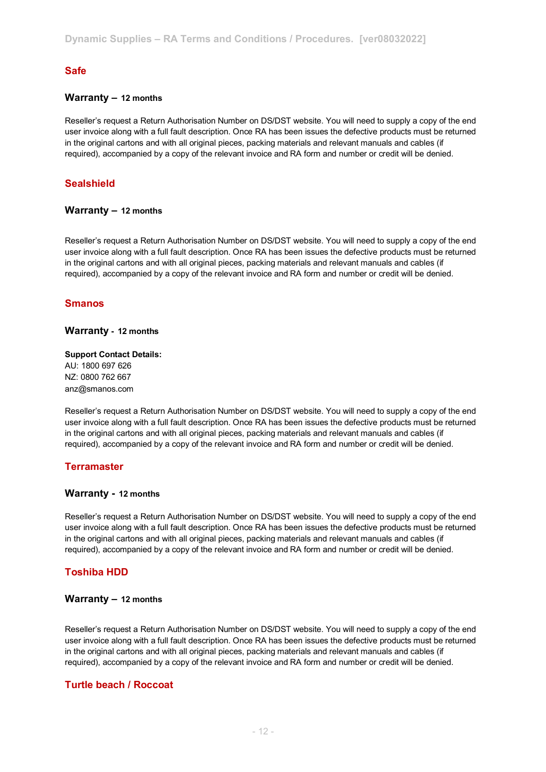## **Safe**

#### **Warranty – 12 months**

Reseller's request a Return Authorisation Number on DS/DST website. You will need to supply a copy of the end user invoice along with a full fault description. Once RA has been issues the defective products must be returned in the original cartons and with all original pieces, packing materials and relevant manuals and cables (if required), accompanied by a copy of the relevant invoice and RA form and number or credit will be denied.

## **Sealshield**

#### **Warranty – 12 months**

Reseller's request a Return Authorisation Number on DS/DST website. You will need to supply a copy of the end user invoice along with a full fault description. Once RA has been issues the defective products must be returned in the original cartons and with all original pieces, packing materials and relevant manuals and cables (if required), accompanied by a copy of the relevant invoice and RA form and number or credit will be denied.

#### **Smanos**

#### **Warranty - 12 months**

## **Support Contact Details:** AU: 1800 697 626

NZ: 0800 762 667 anz@smanos.com

Reseller's request a Return Authorisation Number on DS/DST website. You will need to supply a copy of the end user invoice along with a full fault description. Once RA has been issues the defective products must be returned in the original cartons and with all original pieces, packing materials and relevant manuals and cables (if required), accompanied by a copy of the relevant invoice and RA form and number or credit will be denied.

#### **Terramaster**

#### **Warranty - 12 months**

Reseller's request a Return Authorisation Number on DS/DST website. You will need to supply a copy of the end user invoice along with a full fault description. Once RA has been issues the defective products must be returned in the original cartons and with all original pieces, packing materials and relevant manuals and cables (if required), accompanied by a copy of the relevant invoice and RA form and number or credit will be denied.

#### **Toshiba HDD**

#### **Warranty – 12 months**

Reseller's request a Return Authorisation Number on DS/DST website. You will need to supply a copy of the end user invoice along with a full fault description. Once RA has been issues the defective products must be returned in the original cartons and with all original pieces, packing materials and relevant manuals and cables (if required), accompanied by a copy of the relevant invoice and RA form and number or credit will be denied.

#### **Turtle beach / Roccoat**